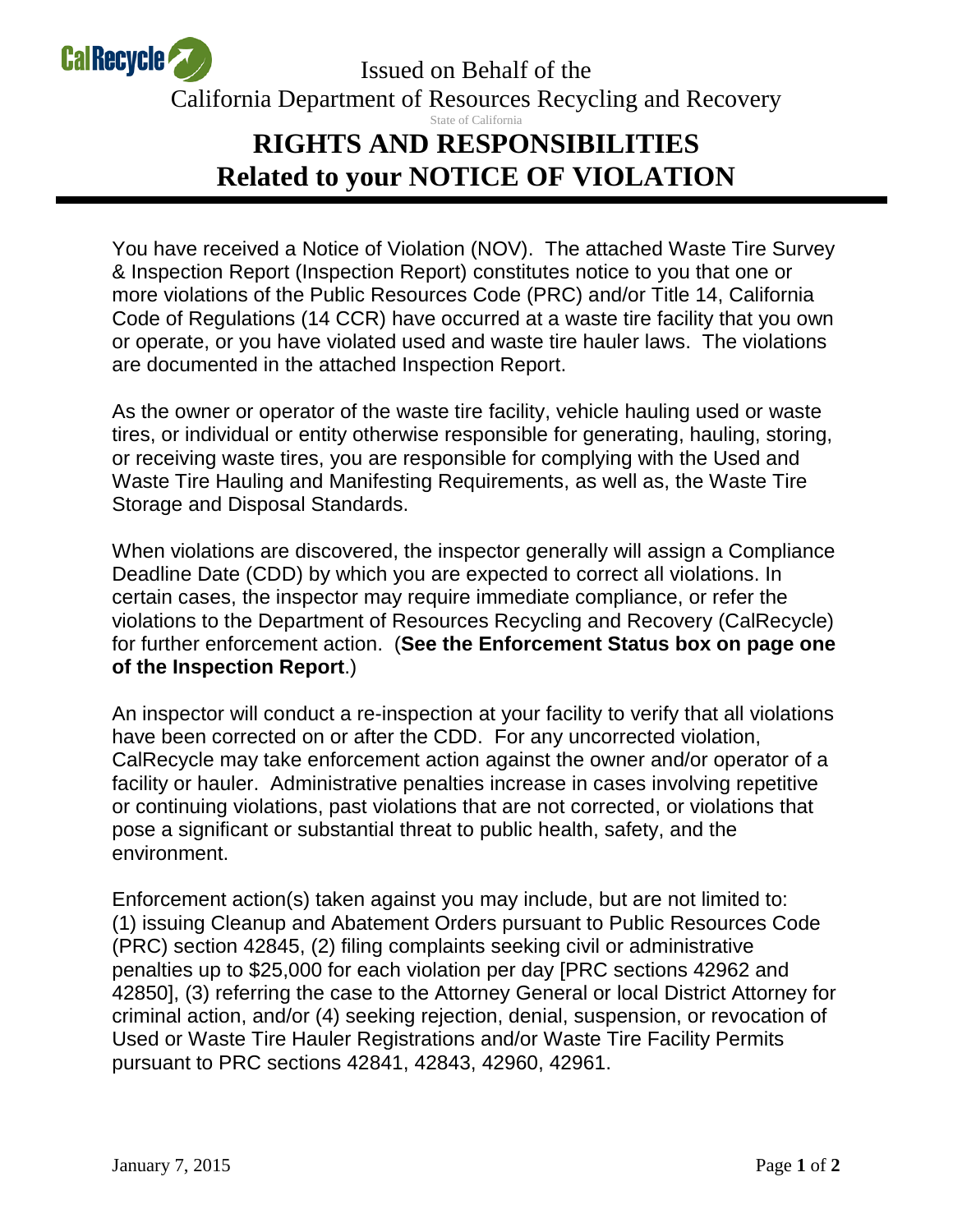

Issued on Behalf of the California Department of Resources Recycling and Recovery State of California **RIGHTS AND RESPONSIBILITIES Related to your NOTICE OF VIOLATION** 

You have received a Notice of Violation (NOV). The attached Waste Tire Survey & Inspection Report (Inspection Report) constitutes notice to you that one or more violations of the Public Resources Code (PRC) and/or Title 14, California Code of Regulations (14 CCR) have occurred at a waste tire facility that you own or operate, or you have violated used and waste tire hauler laws. The violations are documented in the attached Inspection Report.

As the owner or operator of the waste tire facility, vehicle hauling used or waste tires, or individual or entity otherwise responsible for generating, hauling, storing, or receiving waste tires, you are responsible for complying with the Used and Waste Tire Hauling and Manifesting Requirements, as well as, the Waste Tire Storage and Disposal Standards.

When violations are discovered, the inspector generally will assign a Compliance Deadline Date (CDD) by which you are expected to correct all violations. In certain cases, the inspector may require immediate compliance, or refer the violations to the Department of Resources Recycling and Recovery (CalRecycle) for further enforcement action. (**See the Enforcement Status box on page one of the Inspection Report**.)

An inspector will conduct a re-inspection at your facility to verify that all violations have been corrected on or after the CDD. For any uncorrected violation, CalRecycle may take enforcement action against the owner and/or operator of a facility or hauler. Administrative penalties increase in cases involving repetitive or continuing violations, past violations that are not corrected, or violations that pose a significant or substantial threat to public health, safety, and the environment.

Enforcement action(s) taken against you may include, but are not limited to: (1) issuing Cleanup and Abatement Orders pursuant to Public Resources Code (PRC) section 42845, (2) filing complaints seeking civil or administrative penalties up to \$25,000 for each violation per day [PRC sections 42962 and 42850], (3) referring the case to the Attorney General or local District Attorney for criminal action, and/or (4) seeking rejection, denial, suspension, or revocation of Used or Waste Tire Hauler Registrations and/or Waste Tire Facility Permits pursuant to PRC sections 42841, 42843, 42960, 42961.